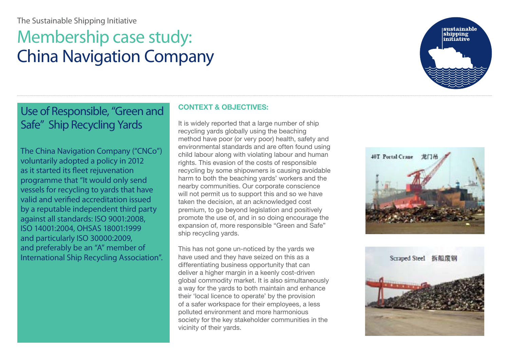# The Sustainable Shipping Initiative

# Membership case study: China Navigation Company



Use of Responsible, "Green and Safe" Ship Recycling Yards

The China Navigation Company ("CNCo") voluntarily adopted a policy in 2012 as it started its fleet rejuvenation programme that "It would only send vessels for recycling to yards that have valid and verified accreditation issued by a reputable independent third party against all standards: ISO 9001:2008, ISO 14001:2004, OHSAS 18001:1999 and particularly ISO 30000:2009, and preferably be an "A" member of International Ship Recycling Association".

## **CONTEXT & OBJECTIVES:**

It is widely reported that a large number of ship recycling yards globally using the beaching method have poor (or very poor) health, safety and environmental standards and are often found using child labour along with violating labour and human rights. This evasion of the costs of responsible recycling by some shipowners is causing avoidable harm to both the beaching yards' workers and the nearby communities. Our corporate conscience will not permit us to support this and so we have taken the decision, at an acknowledged cost premium, to go beyond legislation and positively promote the use of, and in so doing encourage the expansion of, more responsible "Green and Safe" ship recycling yards.

This has not gone un-noticed by the yards we have used and they have seized on this as a differentiating business opportunity that can deliver a higher margin in a keenly cost-driven global commodity market. It is also simultaneously a way for the yards to both maintain and enhance their 'local licence to operate' by the provision of a safer workspace for their employees, a less polluted environment and more harmonious society for the key stakeholder communities in the vicinity of their yards.



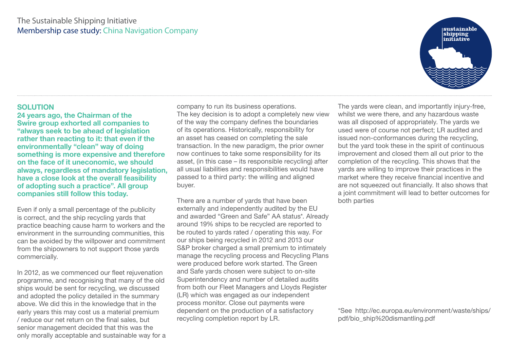# The Sustainable Shipping Initiative Membership case study: China Navigation Company

#### **SOLUTION**

**24 years ago, the Chairman of the Swire group exhorted all companies to "always seek to be ahead of legislation rather than reacting to it: that even if the environmentally "clean" way of doing something is more expensive and therefore on the face of it uneconomic, we should always, regardless of mandatory legislation, have a close look at the overall feasibility of adopting such a practice". All group companies still follow this today.** 

Even if only a small percentage of the publicity is correct, and the ship recycling yards that practice beaching cause harm to workers and the environment in the surrounding communities, this can be avoided by the willpower and commitment from the shipowners to not support those yards commercially.

In 2012, as we commenced our fleet rejuvenation programme, and recognising that many of the old ships would be sent for recycling, we discussed and adopted the policy detailed in the summary above. We did this in the knowledge that in the early years this may cost us a material premium / reduce our net return on the final sales, but senior management decided that this was the only morally acceptable and sustainable way for a company to run its business operations. The key decision is to adopt a completely new view of the way the company defines the boundaries of its operations. Historically, responsibility for an asset has ceased on completing the sale transaction. In the new paradigm, the prior owner now continues to take some responsibility for its asset, (in this case – its responsible recycling) after all usual liabilities and responsibilities would have passed to a third party: the willing and aligned buyer.

There are a number of yards that have been externally and independently audited by the EU and awarded "Green and Safe" AA status\*. Already around 19% ships to be recycled are reported to be routed to yards rated / operating this way. For our ships being recycled in 2012 and 2013 our S&P broker charged a small premium to intimately manage the recycling process and Recycling Plans were produced before work started. The Green and Safe yards chosen were subject to on-site Superintendency and number of detailed audits from both our Fleet Managers and Lloyds Register (LR) which was engaged as our independent process monitor. Close out payments were dependent on the production of a satisfactory recycling completion report by LR.

The yards were clean, and importantly injury-free, whilst we were there, and any hazardous waste was all disposed of appropriately. The yards we used were of course not perfect; LR audited and issued non-conformances during the recycling, but the yard took these in the spirit of continuous improvement and closed them all out prior to the completion of the recycling. This shows that the yards are willing to improve their practices in the market where they receive financial incentive and are not squeezed out financially. It also shows that a joint commitment will lead to better outcomes for both parties

\*See http://ec.europa.eu/environment/waste/ships/ pdf/bio\_ship%20dismantling.pdf